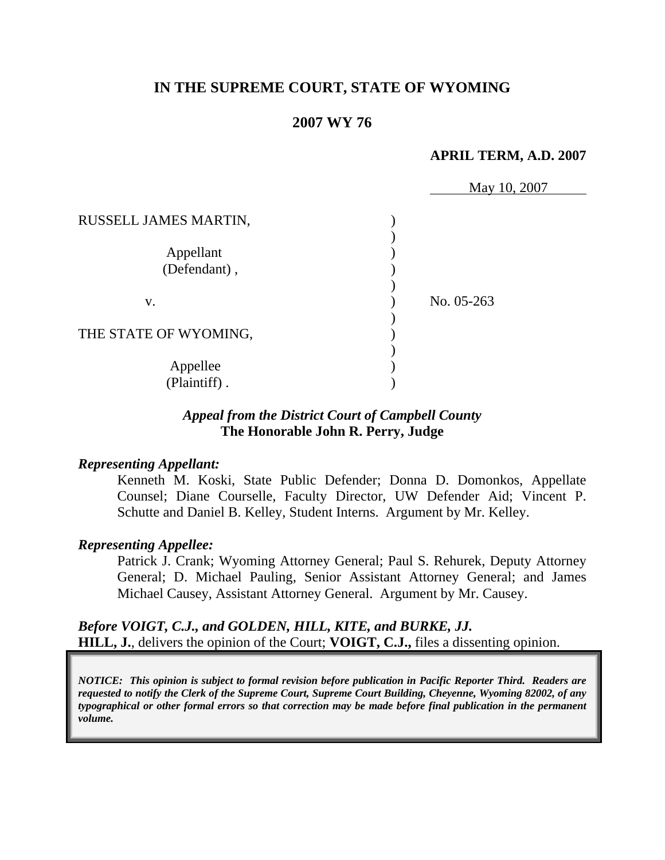## **IN THE SUPREME COURT, STATE OF WYOMING**

## **2007 WY 76**

### **APRIL TERM, A.D. 2007**

|                           | May 10, 2007 |
|---------------------------|--------------|
| RUSSELL JAMES MARTIN,     |              |
| Appellant<br>(Defendant), |              |
| V.                        | No. 05-263   |
| THE STATE OF WYOMING,     |              |
| Appellee<br>(Plaintiff).  |              |

## *Appeal from the District Court of Campbell County* **The Honorable John R. Perry, Judge**

#### *Representing Appellant:*

Kenneth M. Koski, State Public Defender; Donna D. Domonkos, Appellate Counsel; Diane Courselle, Faculty Director, UW Defender Aid; Vincent P. Schutte and Daniel B. Kelley, Student Interns. Argument by Mr. Kelley.

### *Representing Appellee:*

Patrick J. Crank; Wyoming Attorney General; Paul S. Rehurek, Deputy Attorney General; D. Michael Pauling, Senior Assistant Attorney General; and James Michael Causey, Assistant Attorney General. Argument by Mr. Causey.

*Before VOIGT, C.J., and GOLDEN, HILL, KITE, and BURKE, JJ.*  **HILL, J.**, delivers the opinion of the Court; **VOIGT, C.J.,** files a dissenting opinion.

*NOTICE: This opinion is subject to formal revision before publication in Pacific Reporter Third. Readers are requested to notify the Clerk of the Supreme Court, Supreme Court Building, Cheyenne, Wyoming 82002, of any typographical or other formal errors so that correction may be made before final publication in the permanent volume.*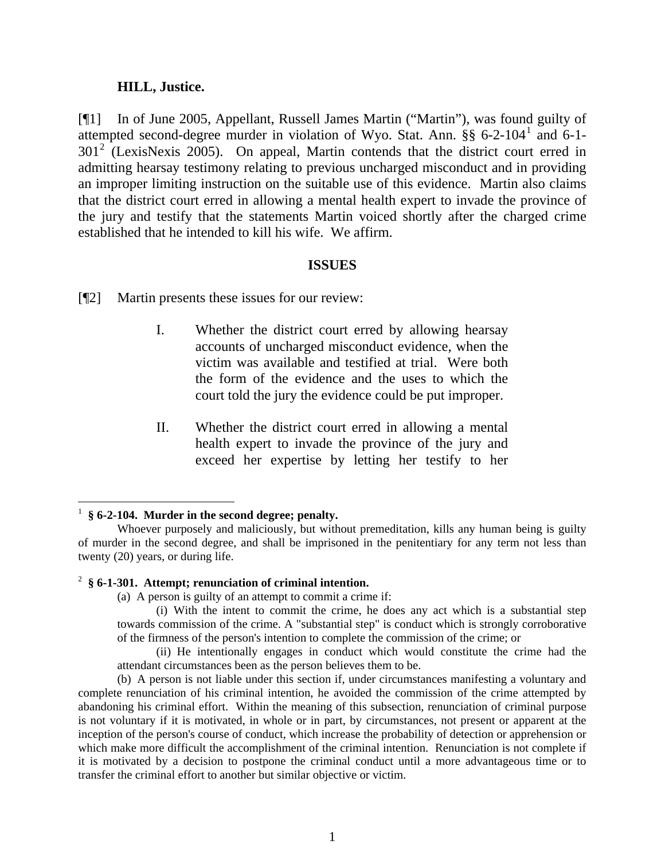#### **HILL, Justice.**

[¶1] In of June 2005, Appellant, Russell James Martin ("Martin"), was found guilty of attempted second-degree murder in violation of Wyo. Stat. Ann. §§ 6-2-[1](#page-2-0)04<sup>1</sup> and 6-1- $301<sup>2</sup>$  $301<sup>2</sup>$  $301<sup>2</sup>$  (LexisNexis 2005). On appeal, Martin contends that the district court erred in admitting hearsay testimony relating to previous uncharged misconduct and in providing an improper limiting instruction on the suitable use of this evidence. Martin also claims that the district court erred in allowing a mental health expert to invade the province of the jury and testify that the statements Martin voiced shortly after the charged crime established that he intended to kill his wife. We affirm.

#### **ISSUES**

[¶2] Martin presents these issues for our review:

- I. Whether the district court erred by allowing hearsay accounts of uncharged misconduct evidence, when the victim was available and testified at trial. Were both the form of the evidence and the uses to which the court told the jury the evidence could be put improper.
- II. Whether the district court erred in allowing a mental health expert to invade the province of the jury and exceed her expertise by letting her testify to her

### <span id="page-2-1"></span>2 **§ 6-1-301. Attempt; renunciation of criminal intention.**

(a) A person is guilty of an attempt to commit a crime if:

(i) With the intent to commit the crime, he does any act which is a substantial step towards commission of the crime. A "substantial step" is conduct which is strongly corroborative of the firmness of the person's intention to complete the commission of the crime; or

(ii) He intentionally engages in conduct which would constitute the crime had the attendant circumstances been as the person believes them to be.

(b) A person is not liable under this section if, under circumstances manifesting a voluntary and complete renunciation of his criminal intention, he avoided the commission of the crime attempted by abandoning his criminal effort. Within the meaning of this subsection, renunciation of criminal purpose is not voluntary if it is motivated, in whole or in part, by circumstances, not present or apparent at the inception of the person's course of conduct, which increase the probability of detection or apprehension or which make more difficult the accomplishment of the criminal intention. Renunciation is not complete if it is motivated by a decision to postpone the criminal conduct until a more advantageous time or to transfer the criminal effort to another but similar objective or victim.

<span id="page-2-0"></span><sup>1</sup> **§ 6-2-104. Murder in the second degree; penalty.** 

Whoever purposely and maliciously, but without premeditation, kills any human being is guilty of murder in the second degree, and shall be imprisoned in the penitentiary for any term not less than twenty (20) years, or during life.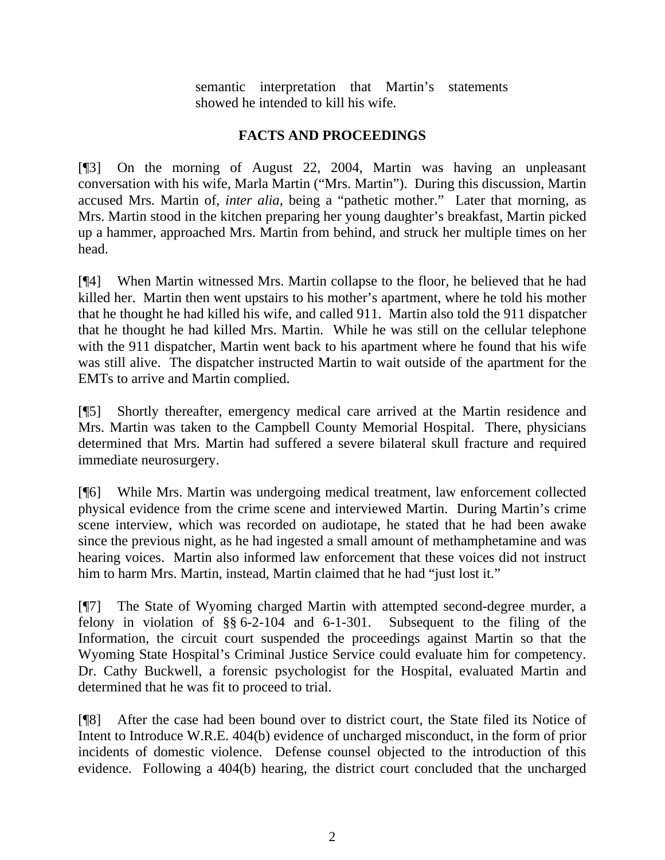semantic interpretation that Martin's statements showed he intended to kill his wife.

## **FACTS AND PROCEEDINGS**

[¶3] On the morning of August 22, 2004, Martin was having an unpleasant conversation with his wife, Marla Martin ("Mrs. Martin"). During this discussion, Martin accused Mrs. Martin of, *inter alia*, being a "pathetic mother." Later that morning, as Mrs. Martin stood in the kitchen preparing her young daughter's breakfast, Martin picked up a hammer, approached Mrs. Martin from behind, and struck her multiple times on her head.

[¶4] When Martin witnessed Mrs. Martin collapse to the floor, he believed that he had killed her. Martin then went upstairs to his mother's apartment, where he told his mother that he thought he had killed his wife, and called 911. Martin also told the 911 dispatcher that he thought he had killed Mrs. Martin. While he was still on the cellular telephone with the 911 dispatcher, Martin went back to his apartment where he found that his wife was still alive. The dispatcher instructed Martin to wait outside of the apartment for the EMTs to arrive and Martin complied.

[¶5] Shortly thereafter, emergency medical care arrived at the Martin residence and Mrs. Martin was taken to the Campbell County Memorial Hospital. There, physicians determined that Mrs. Martin had suffered a severe bilateral skull fracture and required immediate neurosurgery.

[¶6] While Mrs. Martin was undergoing medical treatment, law enforcement collected physical evidence from the crime scene and interviewed Martin. During Martin's crime scene interview, which was recorded on audiotape, he stated that he had been awake since the previous night, as he had ingested a small amount of methamphetamine and was hearing voices. Martin also informed law enforcement that these voices did not instruct him to harm Mrs. Martin, instead, Martin claimed that he had "just lost it."

[¶7] The State of Wyoming charged Martin with attempted second-degree murder, a felony in violation of §§ 6-2-104 and 6-1-301. Subsequent to the filing of the Information, the circuit court suspended the proceedings against Martin so that the Wyoming State Hospital's Criminal Justice Service could evaluate him for competency. Dr. Cathy Buckwell, a forensic psychologist for the Hospital, evaluated Martin and determined that he was fit to proceed to trial.

[¶8] After the case had been bound over to district court, the State filed its Notice of Intent to Introduce W.R.E. 404(b) evidence of uncharged misconduct, in the form of prior incidents of domestic violence. Defense counsel objected to the introduction of this evidence. Following a 404(b) hearing, the district court concluded that the uncharged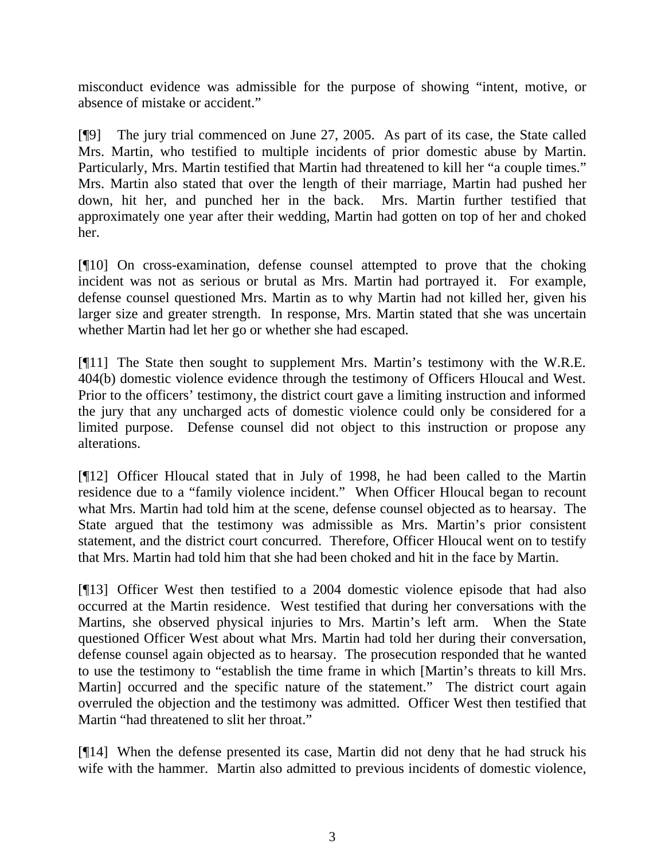misconduct evidence was admissible for the purpose of showing "intent, motive, or absence of mistake or accident."

[¶9] The jury trial commenced on June 27, 2005. As part of its case, the State called Mrs. Martin, who testified to multiple incidents of prior domestic abuse by Martin. Particularly, Mrs. Martin testified that Martin had threatened to kill her "a couple times." Mrs. Martin also stated that over the length of their marriage, Martin had pushed her down, hit her, and punched her in the back. Mrs. Martin further testified that approximately one year after their wedding, Martin had gotten on top of her and choked her.

[¶10] On cross-examination, defense counsel attempted to prove that the choking incident was not as serious or brutal as Mrs. Martin had portrayed it. For example, defense counsel questioned Mrs. Martin as to why Martin had not killed her, given his larger size and greater strength. In response, Mrs. Martin stated that she was uncertain whether Martin had let her go or whether she had escaped.

[¶11] The State then sought to supplement Mrs. Martin's testimony with the W.R.E. 404(b) domestic violence evidence through the testimony of Officers Hloucal and West. Prior to the officers' testimony, the district court gave a limiting instruction and informed the jury that any uncharged acts of domestic violence could only be considered for a limited purpose. Defense counsel did not object to this instruction or propose any alterations.

[¶12] Officer Hloucal stated that in July of 1998, he had been called to the Martin residence due to a "family violence incident." When Officer Hloucal began to recount what Mrs. Martin had told him at the scene, defense counsel objected as to hearsay. The State argued that the testimony was admissible as Mrs. Martin's prior consistent statement, and the district court concurred. Therefore, Officer Hloucal went on to testify that Mrs. Martin had told him that she had been choked and hit in the face by Martin.

[¶13] Officer West then testified to a 2004 domestic violence episode that had also occurred at the Martin residence. West testified that during her conversations with the Martins, she observed physical injuries to Mrs. Martin's left arm. When the State questioned Officer West about what Mrs. Martin had told her during their conversation, defense counsel again objected as to hearsay. The prosecution responded that he wanted to use the testimony to "establish the time frame in which [Martin's threats to kill Mrs. Martin] occurred and the specific nature of the statement." The district court again overruled the objection and the testimony was admitted. Officer West then testified that Martin "had threatened to slit her throat."

[¶14] When the defense presented its case, Martin did not deny that he had struck his wife with the hammer. Martin also admitted to previous incidents of domestic violence,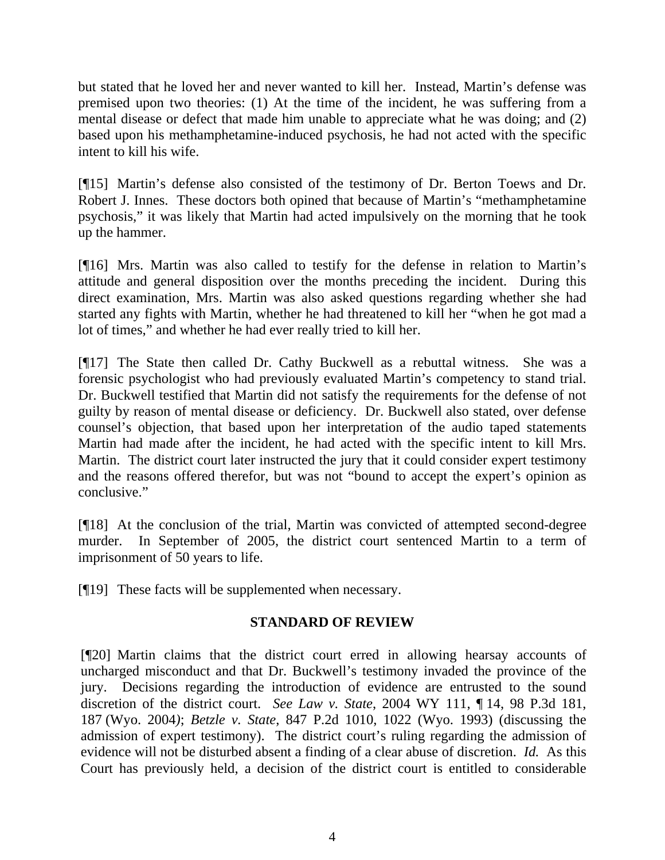but stated that he loved her and never wanted to kill her. Instead, Martin's defense was premised upon two theories: (1) At the time of the incident, he was suffering from a mental disease or defect that made him unable to appreciate what he was doing; and (2) based upon his methamphetamine-induced psychosis, he had not acted with the specific intent to kill his wife.

[¶15] Martin's defense also consisted of the testimony of Dr. Berton Toews and Dr. Robert J. Innes. These doctors both opined that because of Martin's "methamphetamine psychosis," it was likely that Martin had acted impulsively on the morning that he took up the hammer.

[¶16] Mrs. Martin was also called to testify for the defense in relation to Martin's attitude and general disposition over the months preceding the incident. During this direct examination, Mrs. Martin was also asked questions regarding whether she had started any fights with Martin, whether he had threatened to kill her "when he got mad a lot of times," and whether he had ever really tried to kill her.

[¶17] The State then called Dr. Cathy Buckwell as a rebuttal witness. She was a forensic psychologist who had previously evaluated Martin's competency to stand trial. Dr. Buckwell testified that Martin did not satisfy the requirements for the defense of not guilty by reason of mental disease or deficiency. Dr. Buckwell also stated, over defense counsel's objection, that based upon her interpretation of the audio taped statements Martin had made after the incident, he had acted with the specific intent to kill Mrs. Martin. The district court later instructed the jury that it could consider expert testimony and the reasons offered therefor, but was not "bound to accept the expert's opinion as conclusive."

[¶18] At the conclusion of the trial, Martin was convicted of attempted second-degree murder. In September of 2005, the district court sentenced Martin to a term of imprisonment of 50 years to life.

[¶19] These facts will be supplemented when necessary.

# **STANDARD OF REVIEW**

[¶20] Martin claims that the district court erred in allowing hearsay accounts of uncharged misconduct and that Dr. Buckwell's testimony invaded the province of the jury. Decisions regarding the introduction of evidence are entrusted to the sound discretion of the district court. *See Law v. State*, 2004 WY 111, ¶ 14, 98 P.3d 181, 187 (Wyo. 2004*)*; *Betzle v. State*, 847 P.2d 1010, 1022 (Wyo. 1993) (discussing the admission of expert testimony). The district court's ruling regarding the admission of evidence will not be disturbed absent a finding of a clear abuse of discretion. *Id.* As this Court has previously held, a decision of the district court is entitled to considerable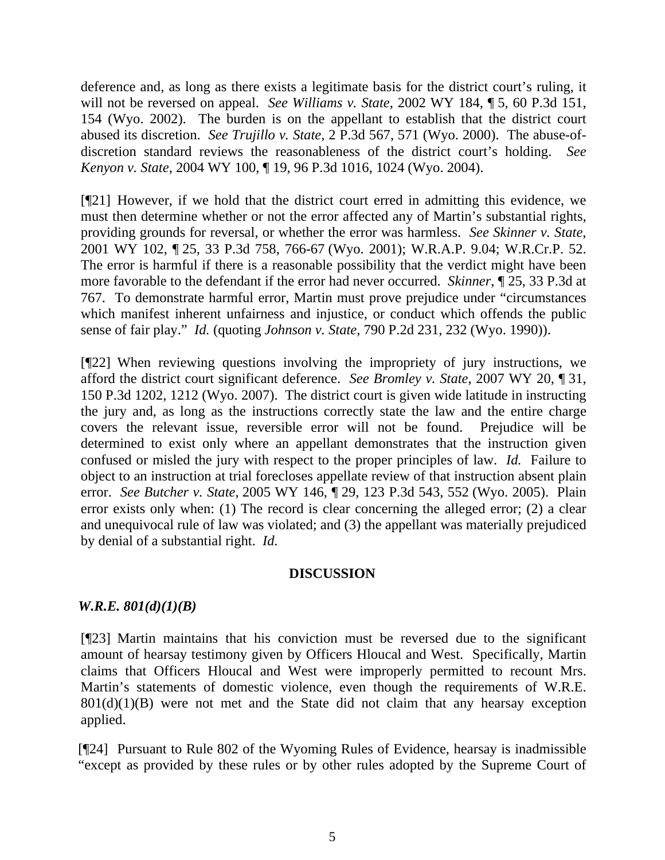deference and, as long as there exists a legitimate basis for the district court's ruling, it will not be reversed on appeal. *See Williams v. State*, 2002 WY 184, ¶ 5, 60 P.3d 151, 154 (Wyo. 2002). The burden is on the appellant to establish that the district court abused its discretion. *See Trujillo v. State*, 2 P.3d 567, 571 (Wyo. 2000). The abuse-ofdiscretion standard reviews the reasonableness of the district court's holding. *See Kenyon v. State,* 2004 WY 100, ¶ 19, 96 P.3d 1016, 1024 (Wyo. 2004).

[¶21] However, if we hold that the district court erred in admitting this evidence, we must then determine whether or not the error affected any of Martin's substantial rights, providing grounds for reversal, or whether the error was harmless. *See Skinner v. State*, 2001 WY 102, ¶ 25, 33 P.3d 758, 766-67 (Wyo. 2001); W.R.A.P. 9.04; W.R.Cr.P. 52. The error is harmful if there is a reasonable possibility that the verdict might have been more favorable to the defendant if the error had never occurred. *Skinner*, ¶ 25, 33 P.3d at 767. To demonstrate harmful error, Martin must prove prejudice under "circumstances which manifest inherent unfairness and injustice, or conduct which offends the public sense of fair play." *Id.* (quoting *Johnson v. State,* 790 P.2d 231, 232 (Wyo. 1990)).

[¶22] When reviewing questions involving the impropriety of jury instructions, we afford the district court significant deference. *See Bromley v. State*, 2007 WY 20, ¶ 31, 150 P.3d 1202, 1212 (Wyo. 2007). The district court is given wide latitude in instructing the jury and, as long as the instructions correctly state the law and the entire charge covers the relevant issue, reversible error will not be found. Prejudice will be determined to exist only where an appellant demonstrates that the instruction given confused or misled the jury with respect to the proper principles of law. *Id.* Failure to object to an instruction at trial forecloses appellate review of that instruction absent plain error. *See Butcher v. State*, 2005 WY 146, ¶ 29, 123 P.3d 543, 552 (Wyo. 2005). Plain error exists only when: (1) The record is clear concerning the alleged error; (2) a clear and unequivocal rule of law was violated; and (3) the appellant was materially prejudiced by denial of a substantial right. *Id.*

### **DISCUSSION**

## *W.R.E. 801(d)(1)(B)*

[¶23] Martin maintains that his conviction must be reversed due to the significant amount of hearsay testimony given by Officers Hloucal and West. Specifically, Martin claims that Officers Hloucal and West were improperly permitted to recount Mrs. Martin's statements of domestic violence, even though the requirements of W.R.E.  $801(d)(1)(B)$  were not met and the State did not claim that any hearsay exception applied.

[¶24] Pursuant to Rule 802 of the Wyoming Rules of Evidence, hearsay is inadmissible "except as provided by these rules or by other rules adopted by the Supreme Court of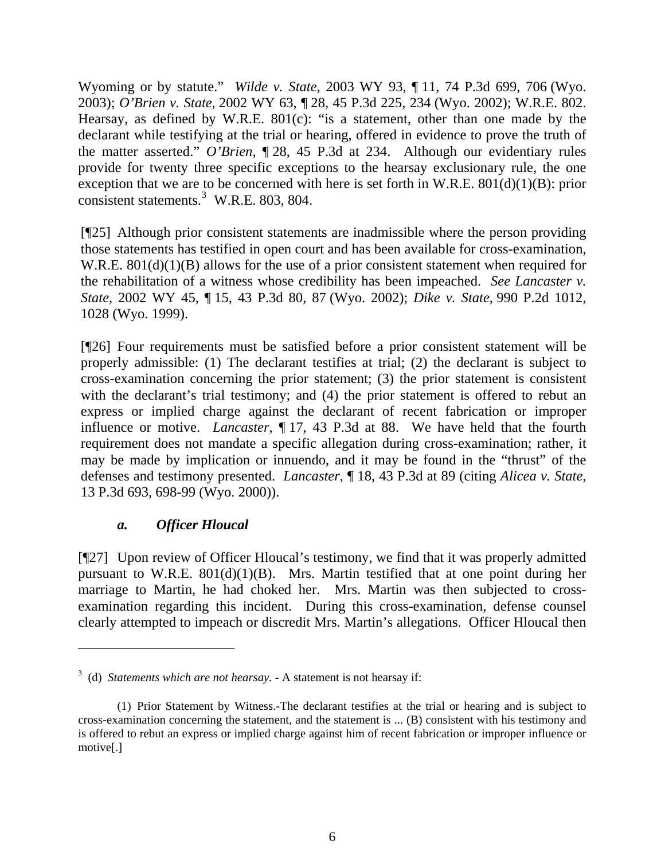Wyoming or by statute." *Wilde v. State*, 2003 WY 93, ¶ 11, 74 P.3d 699, 706 (Wyo. 2003); *O'Brien v. State*, 2002 WY 63, ¶ 28, 45 P.3d 225, 234 (Wyo. 2002); W.R.E. 802. Hearsay, as defined by W.R.E. 801(c): "is a statement, other than one made by the declarant while testifying at the trial or hearing, offered in evidence to prove the truth of the matter asserted." *O'Brien,* ¶ 28, 45 P.3d at 234. Although our evidentiary rules provide for twenty three specific exceptions to the hearsay exclusionary rule, the one exception that we are to be concerned with here is set forth in W.R.E.  $801(d)(1)(B)$ : prior consistent statements.<sup>[3](#page-7-0)</sup> W.R.E. 803, 804.

[¶25] Although prior consistent statements are inadmissible where the person providing those statements has testified in open court and has been available for cross-examination, W.R.E. 801(d)(1)(B) allows for the use of a prior consistent statement when required for the rehabilitation of a witness whose credibility has been impeached. *See Lancaster v. State*, 2002 WY 45, ¶ 15, 43 P.3d 80, 87 (Wyo. 2002); *Dike v. State*, 990 P.2d 1012, 1028 (Wyo. 1999).

[¶26] Four requirements must be satisfied before a prior consistent statement will be properly admissible: (1) The declarant testifies at trial; (2) the declarant is subject to cross-examination concerning the prior statement; (3) the prior statement is consistent with the declarant's trial testimony; and (4) the prior statement is offered to rebut an express or implied charge against the declarant of recent fabrication or improper influence or motive. *Lancaster*, ¶ 17, 43 P.3d at 88. We have held that the fourth requirement does not mandate a specific allegation during cross-examination; rather, it may be made by implication or innuendo, and it may be found in the "thrust" of the defenses and testimony presented. *Lancaster*, ¶ 18, 43 P.3d at 89 (citing *Alicea v. State,* 13 P.3d 693, 698-99 (Wyo. 2000)).

## *a. Officer Hloucal*

[¶27] Upon review of Officer Hloucal's testimony, we find that it was properly admitted pursuant to W.R.E.  $801(d)(1)(B)$ . Mrs. Martin testified that at one point during her marriage to Martin, he had choked her. Mrs. Martin was then subjected to crossexamination regarding this incident. During this cross-examination, defense counsel clearly attempted to impeach or discredit Mrs. Martin's allegations. Officer Hloucal then

<span id="page-7-0"></span><sup>3</sup> (d) *Statements which are not hearsay.* - A statement is not hearsay if:

<sup>(1)</sup> Prior Statement by Witness.-The declarant testifies at the trial or hearing and is subject to cross-examination concerning the statement, and the statement is ... (B) consistent with his testimony and is offered to rebut an express or implied charge against him of recent fabrication or improper influence or motive[.]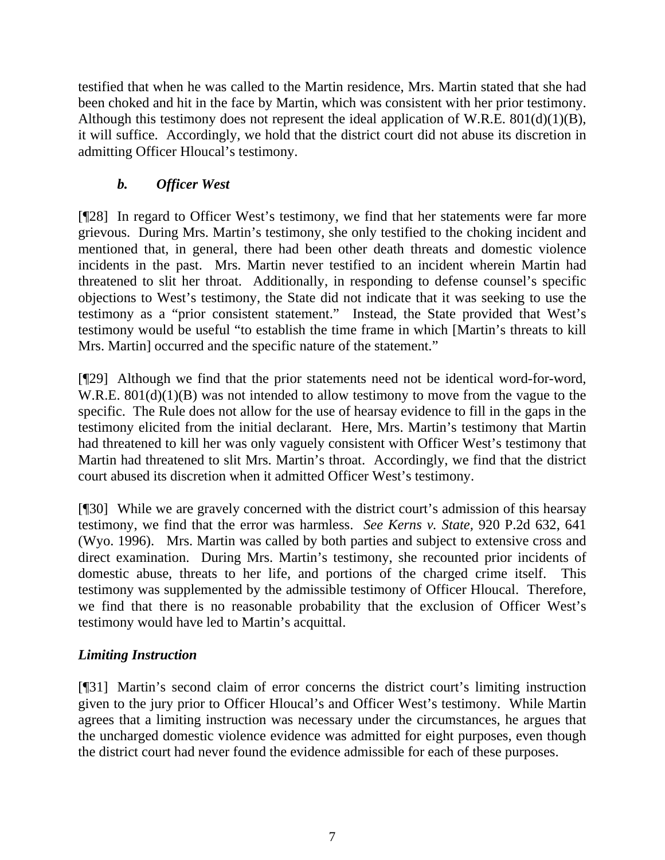testified that when he was called to the Martin residence, Mrs. Martin stated that she had been choked and hit in the face by Martin, which was consistent with her prior testimony. Although this testimony does not represent the ideal application of W.R.E. 801(d)(1)(B), it will suffice. Accordingly, we hold that the district court did not abuse its discretion in admitting Officer Hloucal's testimony.

# *b. Officer West*

[¶28] In regard to Officer West's testimony, we find that her statements were far more grievous. During Mrs. Martin's testimony, she only testified to the choking incident and mentioned that, in general, there had been other death threats and domestic violence incidents in the past. Mrs. Martin never testified to an incident wherein Martin had threatened to slit her throat. Additionally, in responding to defense counsel's specific objections to West's testimony, the State did not indicate that it was seeking to use the testimony as a "prior consistent statement." Instead, the State provided that West's testimony would be useful "to establish the time frame in which [Martin's threats to kill Mrs. Martin] occurred and the specific nature of the statement."

[¶29] Although we find that the prior statements need not be identical word-for-word, W.R.E. 801(d)(1)(B) was not intended to allow testimony to move from the vague to the specific. The Rule does not allow for the use of hearsay evidence to fill in the gaps in the testimony elicited from the initial declarant. Here, Mrs. Martin's testimony that Martin had threatened to kill her was only vaguely consistent with Officer West's testimony that Martin had threatened to slit Mrs. Martin's throat. Accordingly, we find that the district court abused its discretion when it admitted Officer West's testimony.

[¶30] While we are gravely concerned with the district court's admission of this hearsay testimony, we find that the error was harmless. *See Kerns v. State,* 920 P.2d 632, 641 (Wyo. 1996). Mrs. Martin was called by both parties and subject to extensive cross and direct examination. During Mrs. Martin's testimony, she recounted prior incidents of domestic abuse, threats to her life, and portions of the charged crime itself. This testimony was supplemented by the admissible testimony of Officer Hloucal. Therefore, we find that there is no reasonable probability that the exclusion of Officer West's testimony would have led to Martin's acquittal.

# *Limiting Instruction*

[¶31] Martin's second claim of error concerns the district court's limiting instruction given to the jury prior to Officer Hloucal's and Officer West's testimony. While Martin agrees that a limiting instruction was necessary under the circumstances, he argues that the uncharged domestic violence evidence was admitted for eight purposes, even though the district court had never found the evidence admissible for each of these purposes.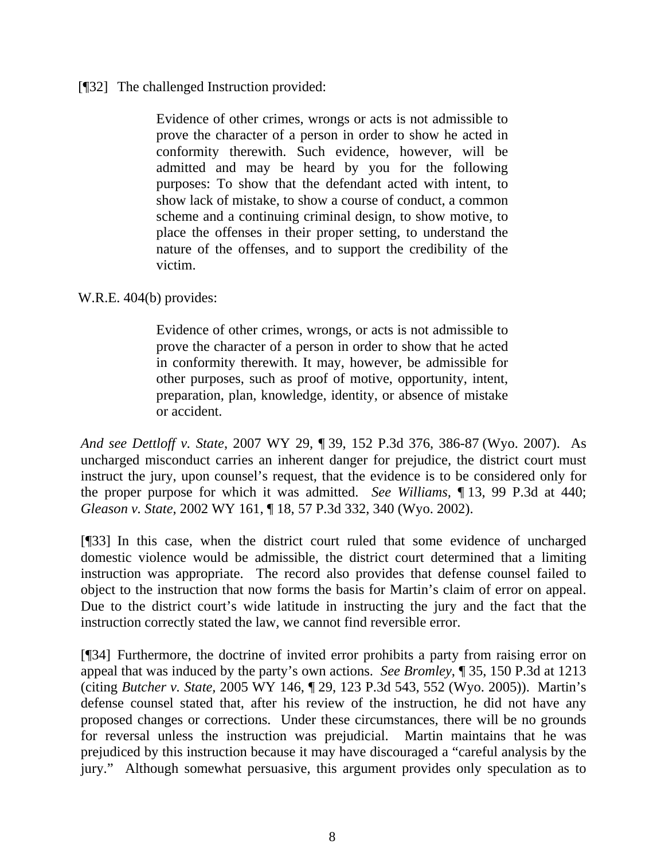### [¶32] The challenged Instruction provided:

Evidence of other crimes, wrongs or acts is not admissible to prove the character of a person in order to show he acted in conformity therewith. Such evidence, however, will be admitted and may be heard by you for the following purposes: To show that the defendant acted with intent, to show lack of mistake, to show a course of conduct, a common scheme and a continuing criminal design, to show motive, to place the offenses in their proper setting, to understand the nature of the offenses, and to support the credibility of the victim.

W.R.E. 404(b) provides:

Evidence of other crimes, wrongs, or acts is not admissible to prove the character of a person in order to show that he acted in conformity therewith. It may, however, be admissible for other purposes, such as proof of motive, opportunity, intent, preparation, plan, knowledge, identity, or absence of mistake or accident.

*And see Dettloff v. State*, 2007 WY 29, ¶ 39, 152 P.3d 376, 386-87 (Wyo. 2007). As uncharged misconduct carries an inherent danger for prejudice, the district court must instruct the jury, upon counsel's request, that the evidence is to be considered only for the proper purpose for which it was admitted. *See Williams,* ¶ 13, 99 P.3d at 440; *Gleason v. State*, 2002 WY 161, ¶ 18, 57 P.3d 332, 340 (Wyo. 2002).

[¶33] In this case, when the district court ruled that some evidence of uncharged domestic violence would be admissible, the district court determined that a limiting instruction was appropriate. The record also provides that defense counsel failed to object to the instruction that now forms the basis for Martin's claim of error on appeal. Due to the district court's wide latitude in instructing the jury and the fact that the instruction correctly stated the law, we cannot find reversible error.

[¶34] Furthermore, the doctrine of invited error prohibits a party from raising error on appeal that was induced by the party's own actions. *See Bromley*, ¶ 35, 150 P.3d at 1213 (citing *Butcher v. State,* 2005 WY 146, ¶ 29, 123 P.3d 543, 552 (Wyo. 2005)). Martin's defense counsel stated that, after his review of the instruction, he did not have any proposed changes or corrections. Under these circumstances, there will be no grounds for reversal unless the instruction was prejudicial. Martin maintains that he was prejudiced by this instruction because it may have discouraged a "careful analysis by the jury." Although somewhat persuasive, this argument provides only speculation as to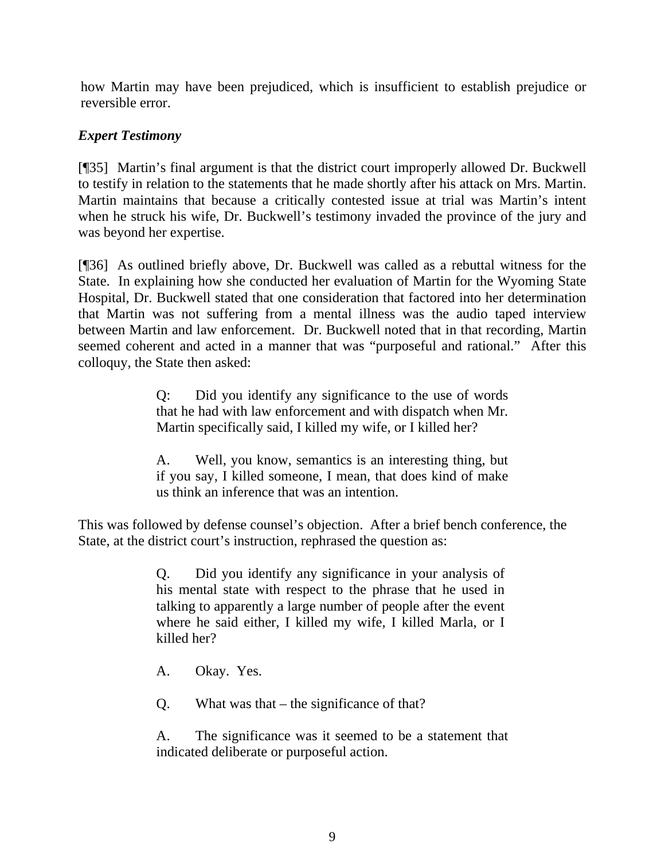how Martin may have been prejudiced, which is insufficient to establish prejudice or reversible error.

## *Expert Testimony*

[¶35] Martin's final argument is that the district court improperly allowed Dr. Buckwell to testify in relation to the statements that he made shortly after his attack on Mrs. Martin. Martin maintains that because a critically contested issue at trial was Martin's intent when he struck his wife, Dr. Buckwell's testimony invaded the province of the jury and was beyond her expertise.

[¶36] As outlined briefly above, Dr. Buckwell was called as a rebuttal witness for the State. In explaining how she conducted her evaluation of Martin for the Wyoming State Hospital, Dr. Buckwell stated that one consideration that factored into her determination that Martin was not suffering from a mental illness was the audio taped interview between Martin and law enforcement. Dr. Buckwell noted that in that recording, Martin seemed coherent and acted in a manner that was "purposeful and rational." After this colloquy, the State then asked:

> Q: Did you identify any significance to the use of words that he had with law enforcement and with dispatch when Mr. Martin specifically said, I killed my wife, or I killed her?

> A. Well, you know, semantics is an interesting thing, but if you say, I killed someone, I mean, that does kind of make us think an inference that was an intention.

This was followed by defense counsel's objection. After a brief bench conference, the State, at the district court's instruction, rephrased the question as:

> Q. Did you identify any significance in your analysis of his mental state with respect to the phrase that he used in talking to apparently a large number of people after the event where he said either, I killed my wife, I killed Marla, or I killed her?

A. Okay. Yes.

Q. What was that – the significance of that?

A. The significance was it seemed to be a statement that indicated deliberate or purposeful action.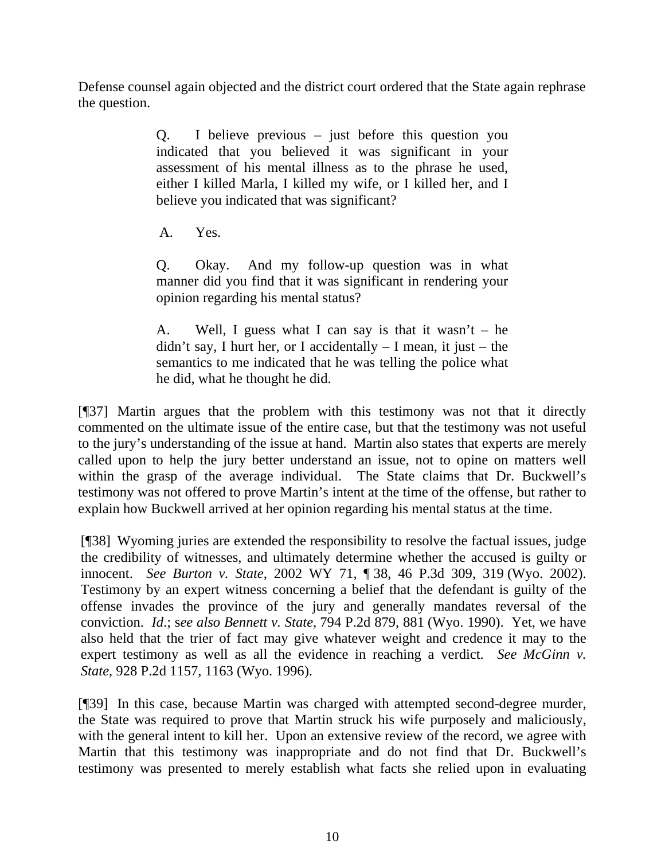Defense counsel again objected and the district court ordered that the State again rephrase the question.

> Q. I believe previous – just before this question you indicated that you believed it was significant in your assessment of his mental illness as to the phrase he used, either I killed Marla, I killed my wife, or I killed her, and I believe you indicated that was significant?

A. Yes.

Q. Okay. And my follow-up question was in what manner did you find that it was significant in rendering your opinion regarding his mental status?

A. Well, I guess what I can say is that it wasn't  $-$  he didn't say, I hurt her, or I accidentally  $-$  I mean, it just  $-$  the semantics to me indicated that he was telling the police what he did, what he thought he did.

[¶37] Martin argues that the problem with this testimony was not that it directly commented on the ultimate issue of the entire case, but that the testimony was not useful to the jury's understanding of the issue at hand. Martin also states that experts are merely called upon to help the jury better understand an issue, not to opine on matters well within the grasp of the average individual. The State claims that Dr. Buckwell's testimony was not offered to prove Martin's intent at the time of the offense, but rather to explain how Buckwell arrived at her opinion regarding his mental status at the time.

[¶38] Wyoming juries are extended the responsibility to resolve the factual issues, judge the credibility of witnesses, and ultimately determine whether the accused is guilty or innocent. *See Burton v. State*, 2002 WY 71, ¶ 38, 46 P.3d 309, 319 (Wyo. 2002). Testimony by an expert witness concerning a belief that the defendant is guilty of the offense invades the province of the jury and generally mandates reversal of the conviction. *Id*.; s*ee also Bennett v. State*, 794 P.2d 879, 881 (Wyo. 1990). Yet, we have also held that the trier of fact may give whatever weight and credence it may to the expert testimony as well as all the evidence in reaching a verdict. *See McGinn v. State*, 928 P.2d 1157, 1163 (Wyo. 1996).

[¶39] In this case, because Martin was charged with attempted second-degree murder, the State was required to prove that Martin struck his wife purposely and maliciously, with the general intent to kill her. Upon an extensive review of the record, we agree with Martin that this testimony was inappropriate and do not find that Dr. Buckwell's testimony was presented to merely establish what facts she relied upon in evaluating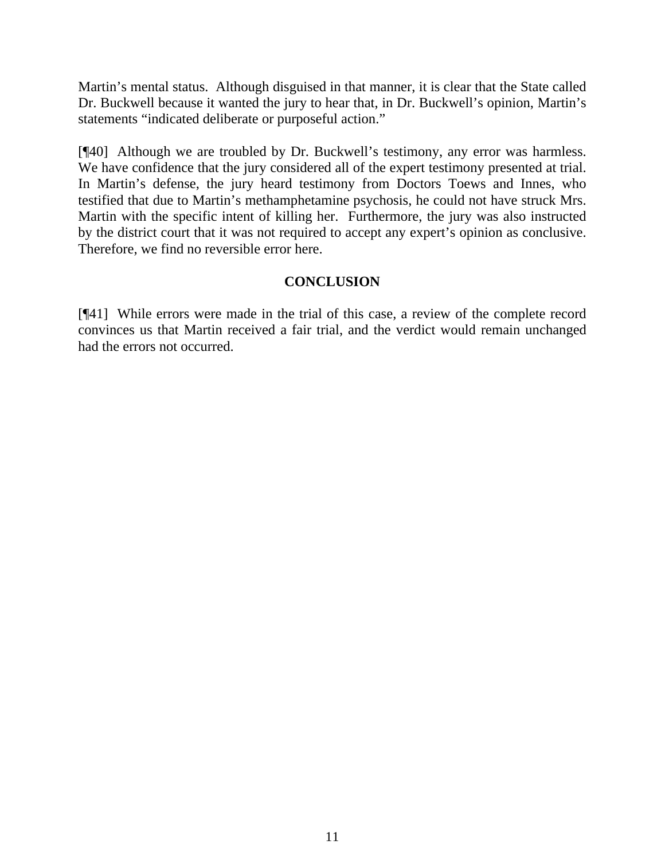Martin's mental status. Although disguised in that manner, it is clear that the State called Dr. Buckwell because it wanted the jury to hear that, in Dr. Buckwell's opinion, Martin's statements "indicated deliberate or purposeful action."

[¶40] Although we are troubled by Dr. Buckwell's testimony, any error was harmless. We have confidence that the jury considered all of the expert testimony presented at trial. In Martin's defense, the jury heard testimony from Doctors Toews and Innes, who testified that due to Martin's methamphetamine psychosis, he could not have struck Mrs. Martin with the specific intent of killing her. Furthermore, the jury was also instructed by the district court that it was not required to accept any expert's opinion as conclusive. Therefore, we find no reversible error here.

## **CONCLUSION**

[¶41] While errors were made in the trial of this case, a review of the complete record convinces us that Martin received a fair trial, and the verdict would remain unchanged had the errors not occurred.